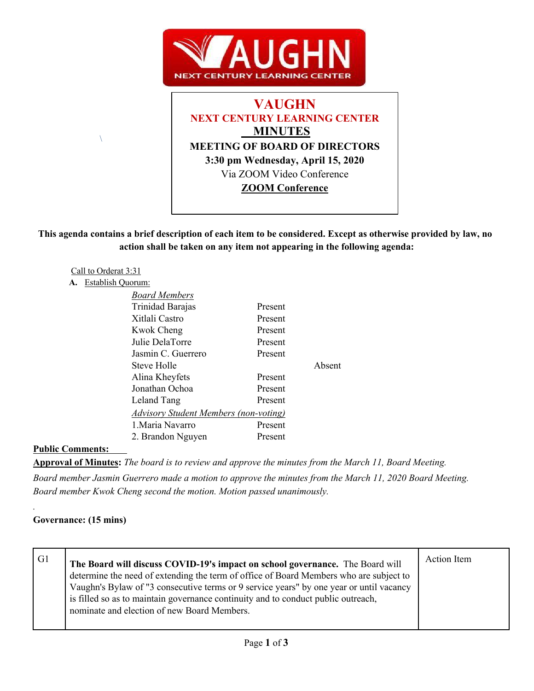



**This agenda contains a brief description of each item to be considered. Except as otherwise provided by law, no action shall be taken on any item not appearing in the following agenda:**

Absent

#### Call to Orderat 3:31 **A.** Establish Quorum:

 $\lambda$ 

| <b>Board Members</b>                         |         |
|----------------------------------------------|---------|
| Trinidad Barajas                             | Present |
| Xitlali Castro                               | Present |
| Kwok Cheng                                   | Present |
| Julie DelaTorre                              | Present |
| Jasmin C. Guerrero                           | Present |
| Steve Holle                                  |         |
| Alina Kheyfets                               | Present |
| Jonathan Ochoa                               | Present |
| Leland Tang                                  | Present |
| <b>Advisory Student Members (non-voting)</b> |         |
| 1. Maria Navarro                             | Present |
| 2. Brandon Nguyen                            | Present |

**Public Comments:** 

**Approval of Minutes:** *The board is to review and approve the minutes from the March 11, Board Meeting.*

*Board member Jasmin Guerrero made a motion to approve the minutes from the March 11, 2020 Board Meeting. Board member Kwok Cheng second the motion. Motion passed unanimously.*

## **Governance: (15 mins)**

*.*

| G1 | The Board will discuss COVID-19's impact on school governance. The Board will<br>determine the need of extending the term of office of Board Members who are subject to<br>Vaughn's Bylaw of "3 consecutive terms or 9 service years" by one year or until vacancy<br>is filled so as to maintain governance continuity and to conduct public outreach,<br>nominate and election of new Board Members. | Action Item |
|----|--------------------------------------------------------------------------------------------------------------------------------------------------------------------------------------------------------------------------------------------------------------------------------------------------------------------------------------------------------------------------------------------------------|-------------|
|    |                                                                                                                                                                                                                                                                                                                                                                                                        |             |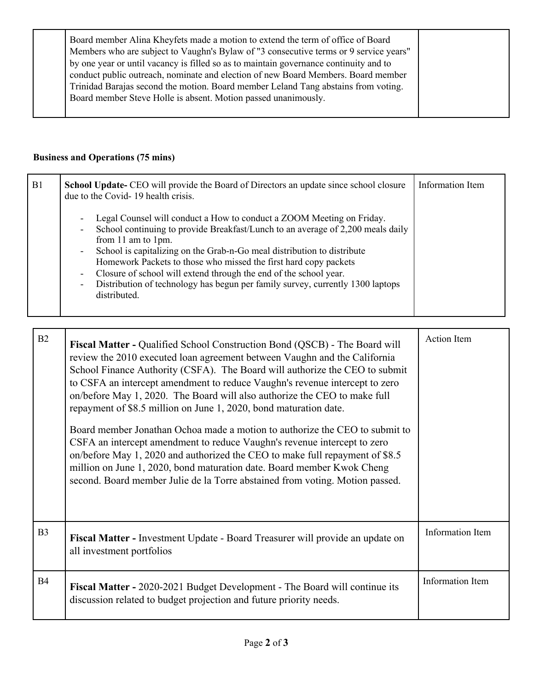| Trinidad Barajas second the motion. Board member Leland Tang abstains from voting.<br>Board member Steve Holle is absent. Motion passed unanimously. |
|------------------------------------------------------------------------------------------------------------------------------------------------------|
|------------------------------------------------------------------------------------------------------------------------------------------------------|

# **Business and Operations (75 mins)**

| B1 | <b>School Update-</b> CEO will provide the Board of Directors an update since school closure<br>due to the Covid-19 health crisis.                                                                                                                                                                                                                                                                                                                                                                                                                                                                                                               | Information Item |
|----|--------------------------------------------------------------------------------------------------------------------------------------------------------------------------------------------------------------------------------------------------------------------------------------------------------------------------------------------------------------------------------------------------------------------------------------------------------------------------------------------------------------------------------------------------------------------------------------------------------------------------------------------------|------------------|
|    | Legal Counsel will conduct a How to conduct a ZOOM Meeting on Friday.<br>$\overline{\phantom{a}}$<br>School continuing to provide Breakfast/Lunch to an average of 2,200 meals daily<br>$\overline{\phantom{a}}$<br>from 11 am to 1pm.<br>School is capitalizing on the Grab-n-Go meal distribution to distribute<br>$\overline{\phantom{a}}$<br>Homework Packets to those who missed the first hard copy packets<br>Closure of school will extend through the end of the school year.<br>$\overline{\phantom{a}}$<br>Distribution of technology has begun per family survey, currently 1300 laptops<br>$\overline{\phantom{a}}$<br>distributed. |                  |

| B2             | <b>Fiscal Matter - Qualified School Construction Bond (QSCB) - The Board will</b><br>review the 2010 executed loan agreement between Vaughn and the California<br>School Finance Authority (CSFA). The Board will authorize the CEO to submit<br>to CSFA an intercept amendment to reduce Vaughn's revenue intercept to zero<br>on/before May 1, 2020. The Board will also authorize the CEO to make full<br>repayment of \$8.5 million on June 1, 2020, bond maturation date.<br>Board member Jonathan Ochoa made a motion to authorize the CEO to submit to<br>CSFA an intercept amendment to reduce Vaughn's revenue intercept to zero<br>on/before May 1, 2020 and authorized the CEO to make full repayment of \$8.5<br>million on June 1, 2020, bond maturation date. Board member Kwok Cheng<br>second. Board member Julie de la Torre abstained from voting. Motion passed. | <b>Action Item</b>      |
|----------------|-------------------------------------------------------------------------------------------------------------------------------------------------------------------------------------------------------------------------------------------------------------------------------------------------------------------------------------------------------------------------------------------------------------------------------------------------------------------------------------------------------------------------------------------------------------------------------------------------------------------------------------------------------------------------------------------------------------------------------------------------------------------------------------------------------------------------------------------------------------------------------------|-------------------------|
| B <sub>3</sub> | Fiscal Matter - Investment Update - Board Treasurer will provide an update on<br>all investment portfolios                                                                                                                                                                                                                                                                                                                                                                                                                                                                                                                                                                                                                                                                                                                                                                          | Information Item        |
| <b>B4</b>      | <b>Fiscal Matter - 2020-2021 Budget Development - The Board will continue its</b><br>discussion related to budget projection and future priority needs.                                                                                                                                                                                                                                                                                                                                                                                                                                                                                                                                                                                                                                                                                                                             | <b>Information Item</b> |